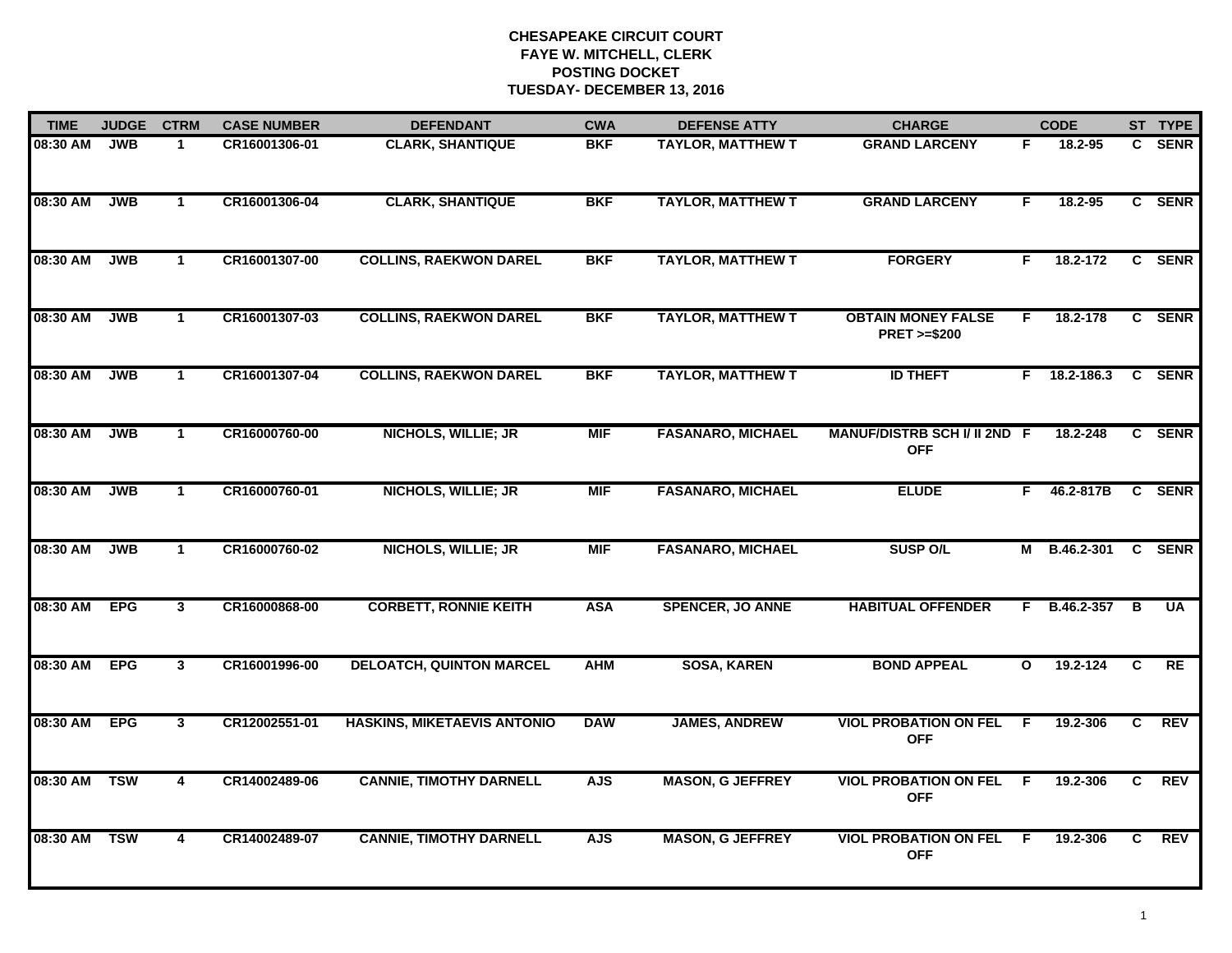| <b>TIME</b> | <b>JUDGE</b> | <b>CTRM</b>             | <b>CASE NUMBER</b> | <b>DEFENDANT</b>                   | <b>CWA</b> | <b>DEFENSE ATTY</b>      | <b>CHARGE</b>                                       |              | <b>CODE</b>         |    | ST TYPE    |
|-------------|--------------|-------------------------|--------------------|------------------------------------|------------|--------------------------|-----------------------------------------------------|--------------|---------------------|----|------------|
| 08:30 AM    | JWB          | 1                       | CR16001306-01      | <b>CLARK, SHANTIQUE</b>            | <b>BKF</b> | <b>TAYLOR, MATTHEW T</b> | <b>GRAND LARCENY</b>                                | F.           | 18.2-95             |    | C SENR     |
| 08:30 AM    | JWB          | $\mathbf{1}$            | CR16001306-04      | <b>CLARK, SHANTIQUE</b>            | <b>BKF</b> | <b>TAYLOR, MATTHEW T</b> | <b>GRAND LARCENY</b>                                | F.           | 18.2-95             |    | C SENR     |
| 08:30 AM    | JWB          | $\mathbf{1}$            | CR16001307-00      | <b>COLLINS, RAEKWON DAREL</b>      | <b>BKF</b> | <b>TAYLOR, MATTHEW T</b> | <b>FORGERY</b>                                      | F            | 18.2-172            |    | C SENR     |
| 08:30 AM    | <b>JWB</b>   | $\mathbf{1}$            | CR16001307-03      | <b>COLLINS, RAEKWON DAREL</b>      | <b>BKF</b> | <b>TAYLOR, MATTHEW T</b> | <b>OBTAIN MONEY FALSE</b><br><b>PRET &gt;=\$200</b> | F.           | 18.2-178            |    | C SENR     |
| 08:30 AM    | <b>JWB</b>   | $\mathbf{1}$            | CR16001307-04      | <b>COLLINS, RAEKWON DAREL</b>      | <b>BKF</b> | <b>TAYLOR, MATTHEW T</b> | <b>ID THEFT</b>                                     |              | $F$ 18.2-186.3      |    | C SENR     |
| 08:30 AM    | <b>JWB</b>   | $\mathbf 1$             | CR16000760-00      | <b>NICHOLS, WILLIE; JR</b>         | <b>MIF</b> | <b>FASANARO, MICHAEL</b> | MANUF/DISTRB SCH I/ II 2ND F<br><b>OFF</b>          |              | 18.2-248            |    | C SENR     |
| 08:30 AM    | <b>JWB</b>   | $\mathbf{1}$            | CR16000760-01      | <b>NICHOLS, WILLIE; JR</b>         | <b>MIF</b> | <b>FASANARO, MICHAEL</b> | <b>ELUDE</b>                                        | F.           | 46.2-817B           |    | C SENR     |
| 08:30 AM    | <b>JWB</b>   | $\mathbf 1$             | CR16000760-02      | <b>NICHOLS, WILLIE; JR</b>         | <b>MIF</b> | <b>FASANARO, MICHAEL</b> | <b>SUSP O/L</b>                                     |              | M B.46.2-301 C SENR |    |            |
| 08:30 AM    | <b>EPG</b>   | $\mathbf{3}$            | CR16000868-00      | <b>CORBETT, RONNIE KEITH</b>       | <b>ASA</b> | <b>SPENCER, JO ANNE</b>  | <b>HABITUAL OFFENDER</b>                            | F.           | B.46.2-357          | В  | <b>UA</b>  |
| 08:30 AM    | <b>EPG</b>   | $\mathbf{3}$            | CR16001996-00      | <b>DELOATCH, QUINTON MARCEL</b>    | <b>AHM</b> | <b>SOSA, KAREN</b>       | <b>BOND APPEAL</b>                                  | $\mathbf{o}$ | $19.2 - 124$        | C  | <b>RE</b>  |
| 08:30 AM    | <b>EPG</b>   | 3 <sup>1</sup>          | CR12002551-01      | <b>HASKINS, MIKETAEVIS ANTONIO</b> | <b>DAW</b> | <b>JAMES, ANDREW</b>     | <b>VIOL PROBATION ON FEL</b><br><b>OFF</b>          | F.           | 19.2-306            | C  | REV        |
| 08:30 AM    | <b>TSW</b>   | $\overline{\mathbf{4}}$ | CR14002489-06      | <b>CANNIE, TIMOTHY DARNELL</b>     | <b>AJS</b> | <b>MASON, G JEFFREY</b>  | <b>VIOL PROBATION ON FEL</b><br><b>OFF</b>          | F.           | 19.2-306            | C. | <b>REV</b> |
| 08:30 AM    | <b>TSW</b>   | 4                       | CR14002489-07      | <b>CANNIE, TIMOTHY DARNELL</b>     | <b>AJS</b> | <b>MASON, G JEFFREY</b>  | <b>VIOL PROBATION ON FEL</b><br><b>OFF</b>          | -F           | 19.2-306            | C. | REV        |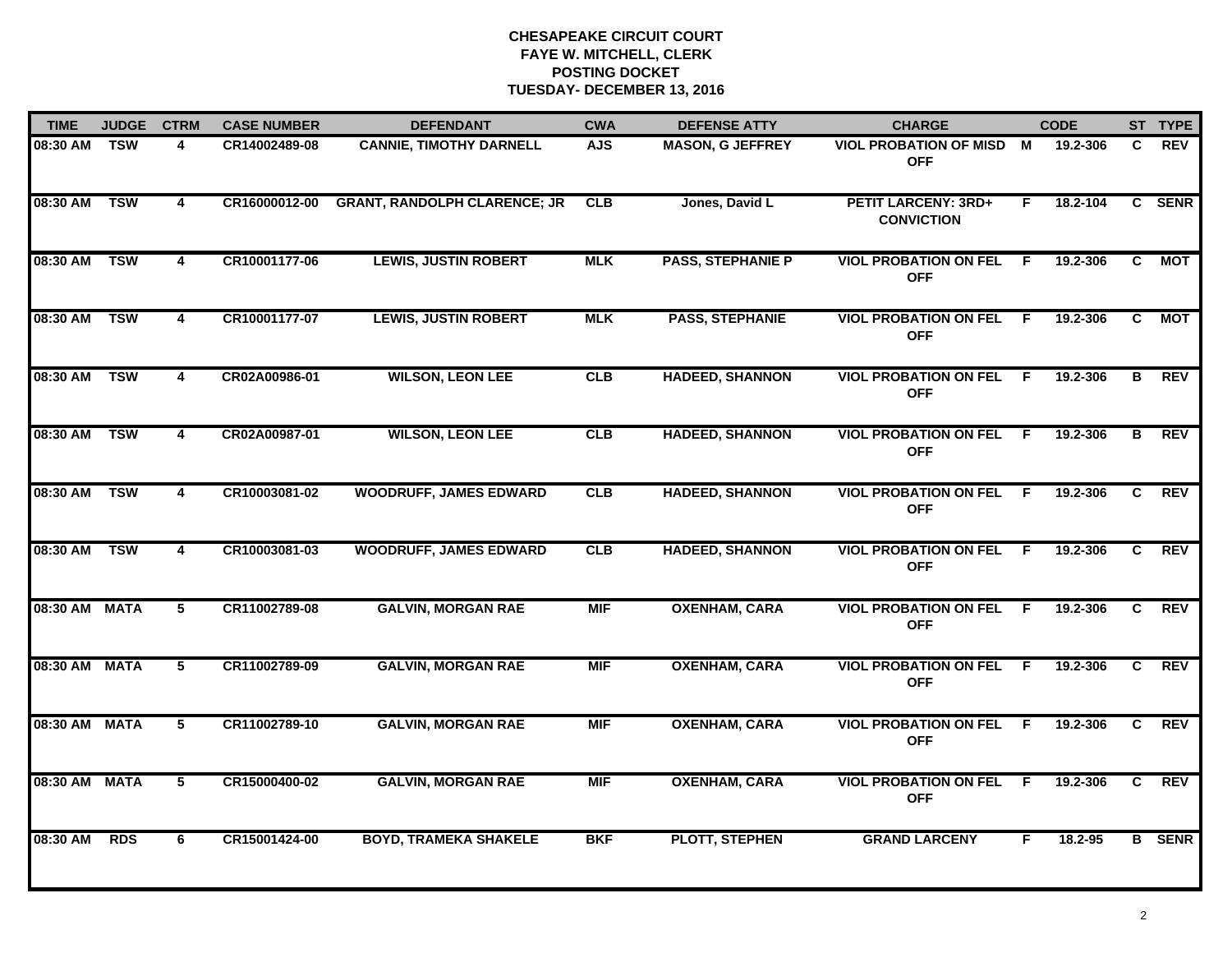| <b>TIME</b>   | <b>JUDGE</b> | <b>CTRM</b>             | <b>CASE NUMBER</b> | <b>DEFENDANT</b>                    | <b>CWA</b> | <b>DEFENSE ATTY</b>      | <b>CHARGE</b>                                   |     | <b>CODE</b> |    | ST TYPE       |
|---------------|--------------|-------------------------|--------------------|-------------------------------------|------------|--------------------------|-------------------------------------------------|-----|-------------|----|---------------|
| 08:30 AM TSW  |              | 4                       | CR14002489-08      | <b>CANNIE, TIMOTHY DARNELL</b>      | <b>AJS</b> | <b>MASON, G JEFFREY</b>  | <b>VIOL PROBATION OF MISD M</b><br><b>OFF</b>   |     | 19.2-306    | C. | <b>REV</b>    |
| 08:30 AM      | <b>TSW</b>   | 4                       | CR16000012-00      | <b>GRANT, RANDOLPH CLARENCE; JR</b> | <b>CLB</b> | Jones, David L           | <b>PETIT LARCENY: 3RD+</b><br><b>CONVICTION</b> | F.  | 18.2-104    |    | C SENR        |
| 08:30 AM      | <b>TSW</b>   | $\overline{\mathbf{4}}$ | CR10001177-06      | <b>LEWIS, JUSTIN ROBERT</b>         | <b>MLK</b> | <b>PASS, STEPHANIE P</b> | <b>VIOL PROBATION ON FEL</b><br><b>OFF</b>      | E   | 19.2-306    | C. | <b>MOT</b>    |
| 08:30 AM      | <b>TSW</b>   | 4                       | CR10001177-07      | <b>LEWIS, JUSTIN ROBERT</b>         | <b>MLK</b> | <b>PASS, STEPHANIE</b>   | <b>VIOL PROBATION ON FEL</b><br><b>OFF</b>      | F.  | 19.2-306    | C. | МОТ           |
| 08:30 AM      | <b>TSW</b>   | 4                       | CR02A00986-01      | <b>WILSON, LEON LEE</b>             | CLB        | <b>HADEED, SHANNON</b>   | <b>VIOL PROBATION ON FEL</b><br><b>OFF</b>      | - F | 19.2-306    | B  | <b>REV</b>    |
| 08:30 AM TSW  |              | 4                       | CR02A00987-01      | <b>WILSON, LEON LEE</b>             | <b>CLB</b> | <b>HADEED, SHANNON</b>   | <b>VIOL PROBATION ON FEL F</b><br><b>OFF</b>    |     | 19.2-306    | B  | <b>REV</b>    |
| 08:30 AM TSW  |              | $\overline{\mathbf{4}}$ | CR10003081-02      | <b>WOODRUFF, JAMES EDWARD</b>       | CLB        | <b>HADEED, SHANNON</b>   | <b>VIOL PROBATION ON FEL F</b><br><b>OFF</b>    |     | 19.2-306    | C  | <b>REV</b>    |
| 08:30 AM      | <b>TSW</b>   | $\overline{\mathbf{4}}$ | CR10003081-03      | <b>WOODRUFF, JAMES EDWARD</b>       | CLB        | <b>HADEED, SHANNON</b>   | <b>VIOL PROBATION ON FEL</b><br><b>OFF</b>      | F.  | 19.2-306    | C. | <b>REV</b>    |
| 08:30 AM MATA |              | 5                       | CR11002789-08      | <b>GALVIN, MORGAN RAE</b>           | <b>MIF</b> | <b>OXENHAM, CARA</b>     | <b>VIOL PROBATION ON FEL</b><br><b>OFF</b>      | E   | 19.2-306    | C. | <b>REV</b>    |
| 08:30 AM MATA |              | 5                       | CR11002789-09      | <b>GALVIN, MORGAN RAE</b>           | <b>MIF</b> | <b>OXENHAM, CARA</b>     | <b>VIOL PROBATION ON FEL</b><br><b>OFF</b>      | -F. | 19.2-306    | C. | <b>REV</b>    |
| 08:30 AM MATA |              | 5                       | CR11002789-10      | <b>GALVIN, MORGAN RAE</b>           | <b>MIF</b> | <b>OXENHAM, CARA</b>     | <b>VIOL PROBATION ON FEL</b><br><b>OFF</b>      | - F | 19.2-306    | C  | REV           |
| 08:30 AM MATA |              | $5\phantom{.0}$         | CR15000400-02      | <b>GALVIN, MORGAN RAE</b>           | <b>MIF</b> | <b>OXENHAM, CARA</b>     | <b>VIOL PROBATION ON FEL F</b><br><b>OFF</b>    |     | 19.2-306    | C. | <b>REV</b>    |
| 08:30 AM      | <b>RDS</b>   | 6                       | CR15001424-00      | <b>BOYD, TRAMEKA SHAKELE</b>        | <b>BKF</b> | <b>PLOTT, STEPHEN</b>    | <b>GRAND LARCENY</b>                            | F.  | 18.2-95     |    | <b>B</b> SENR |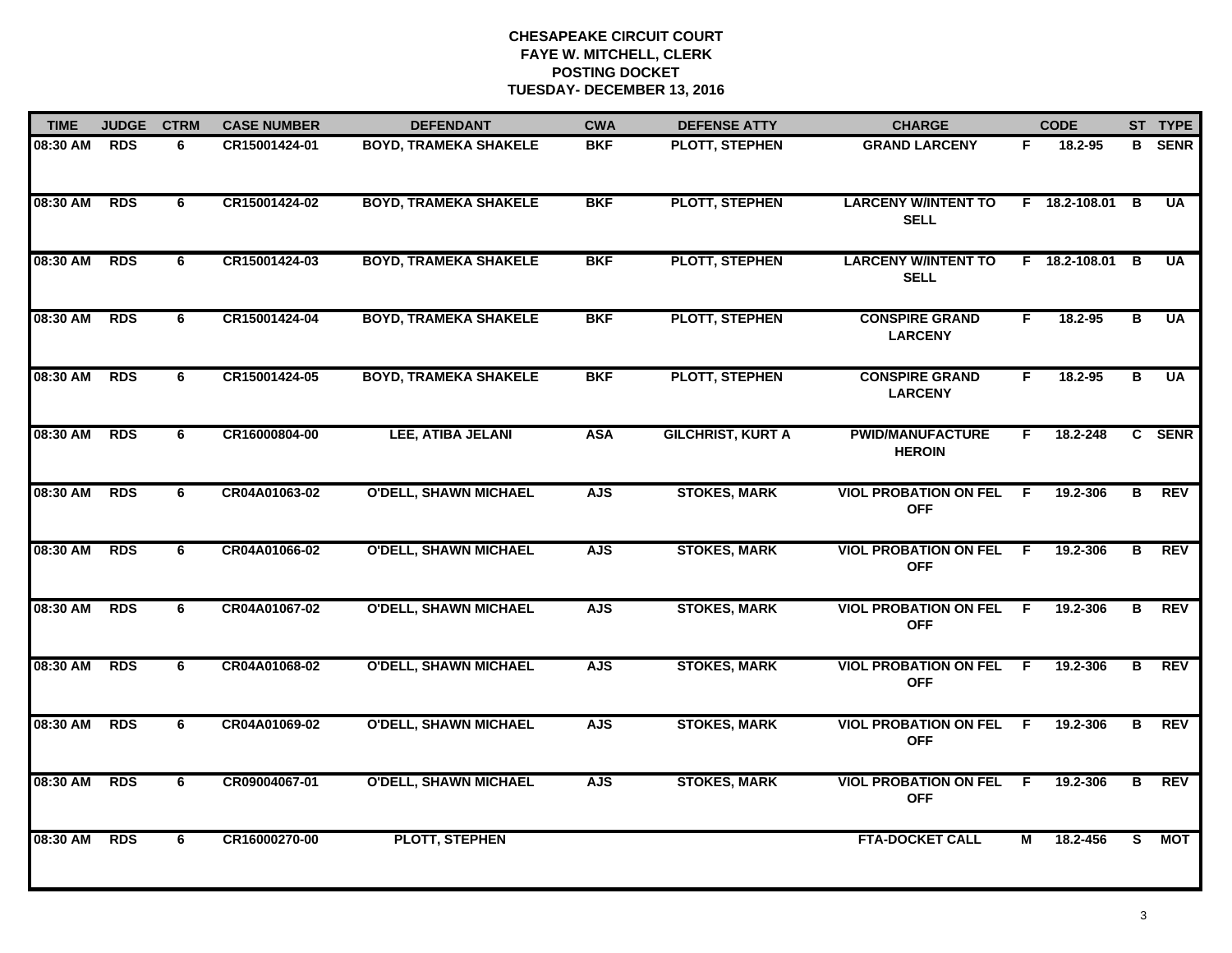| <b>TIME</b> | <b>JUDGE</b> | <b>CTRM</b> | <b>CASE NUMBER</b> | <b>DEFENDANT</b>             | <b>CWA</b> | <b>DEFENSE ATTY</b>      | <b>CHARGE</b>                              |                | <b>CODE</b>     |                | ST TYPE       |
|-------------|--------------|-------------|--------------------|------------------------------|------------|--------------------------|--------------------------------------------|----------------|-----------------|----------------|---------------|
| 08:30 AM    | <b>RDS</b>   | 6           | CR15001424-01      | <b>BOYD, TRAMEKA SHAKELE</b> | <b>BKF</b> | PLOTT, STEPHEN           | <b>GRAND LARCENY</b>                       | F.             | 18.2-95         |                | <b>B</b> SENR |
| 08:30 AM    | <b>RDS</b>   | 6           | CR15001424-02      | <b>BOYD, TRAMEKA SHAKELE</b> | <b>BKF</b> | <b>PLOTT, STEPHEN</b>    | <b>LARCENY W/INTENT TO</b><br><b>SELL</b>  |                | $F$ 18.2-108.01 | B              | <b>UA</b>     |
| 08:30 AM    | <b>RDS</b>   | 6           | CR15001424-03      | <b>BOYD, TRAMEKA SHAKELE</b> | <b>BKF</b> | <b>PLOTT, STEPHEN</b>    | <b>LARCENY W/INTENT TO</b><br><b>SELL</b>  |                | $F$ 18.2-108.01 | B              | <b>UA</b>     |
| 08:30 AM    | <b>RDS</b>   | 6           | CR15001424-04      | <b>BOYD, TRAMEKA SHAKELE</b> | <b>BKF</b> | <b>PLOTT, STEPHEN</b>    | <b>CONSPIRE GRAND</b><br><b>LARCENY</b>    | F.             | $18.2 - 95$     | в              | <b>UA</b>     |
| 08:30 AM    | <b>RDS</b>   | 6           | CR15001424-05      | <b>BOYD, TRAMEKA SHAKELE</b> | <b>BKF</b> | <b>PLOTT, STEPHEN</b>    | <b>CONSPIRE GRAND</b><br><b>LARCENY</b>    | F.             | 18.2-95         | В              | <b>UA</b>     |
| 08:30 AM    | <b>RDS</b>   | 6           | CR16000804-00      | LEE, ATIBA JELANI            | <b>ASA</b> | <b>GILCHRIST, KURT A</b> | <b>PWID/MANUFACTURE</b><br><b>HEROIN</b>   | F.             | 18.2-248        |                | C SENR        |
| 08:30 AM    | <b>RDS</b>   | 6           | CR04A01063-02      | <b>O'DELL, SHAWN MICHAEL</b> | <b>AJS</b> | <b>STOKES, MARK</b>      | <b>VIOL PROBATION ON FEL</b><br><b>OFF</b> | - F            | 19.2-306        | В              | <b>REV</b>    |
| 08:30 AM    | <b>RDS</b>   | 6           | CR04A01066-02      | <b>O'DELL, SHAWN MICHAEL</b> | <b>AJS</b> | <b>STOKES, MARK</b>      | <b>VIOL PROBATION ON FEL</b><br><b>OFF</b> | $\overline{F}$ | 19.2-306        | $\overline{B}$ | <b>REV</b>    |
| 08:30 AM    | <b>RDS</b>   | 6           | CR04A01067-02      | <b>O'DELL, SHAWN MICHAEL</b> | <b>AJS</b> | <b>STOKES, MARK</b>      | <b>VIOL PROBATION ON FEL</b><br><b>OFF</b> | F.             | 19.2-306        | В              | <b>REV</b>    |
| 08:30 AM    | <b>RDS</b>   | 6           | CR04A01068-02      | <b>O'DELL, SHAWN MICHAEL</b> | <b>AJS</b> | <b>STOKES, MARK</b>      | <b>VIOL PROBATION ON FEL</b><br><b>OFF</b> | - F            | 19.2-306        | B              | <b>REV</b>    |
| 08:30 AM    | <b>RDS</b>   | 6           | CR04A01069-02      | <b>O'DELL, SHAWN MICHAEL</b> | <b>AJS</b> | <b>STOKES, MARK</b>      | <b>VIOL PROBATION ON FEL</b><br><b>OFF</b> | -F             | 19.2-306        | в              | <b>REV</b>    |
| 08:30 AM    | <b>RDS</b>   | 6           | CR09004067-01      | <b>O'DELL, SHAWN MICHAEL</b> | <b>AJS</b> | <b>STOKES, MARK</b>      | <b>VIOL PROBATION ON FEL</b><br><b>OFF</b> | - F            | 19.2-306        | В              | REV           |
| 08:30 AM    | <b>RDS</b>   | 6           | CR16000270-00      | <b>PLOTT, STEPHEN</b>        |            |                          | <b>FTA-DOCKET CALL</b>                     | М              | 18.2-456        | s              | <b>MOT</b>    |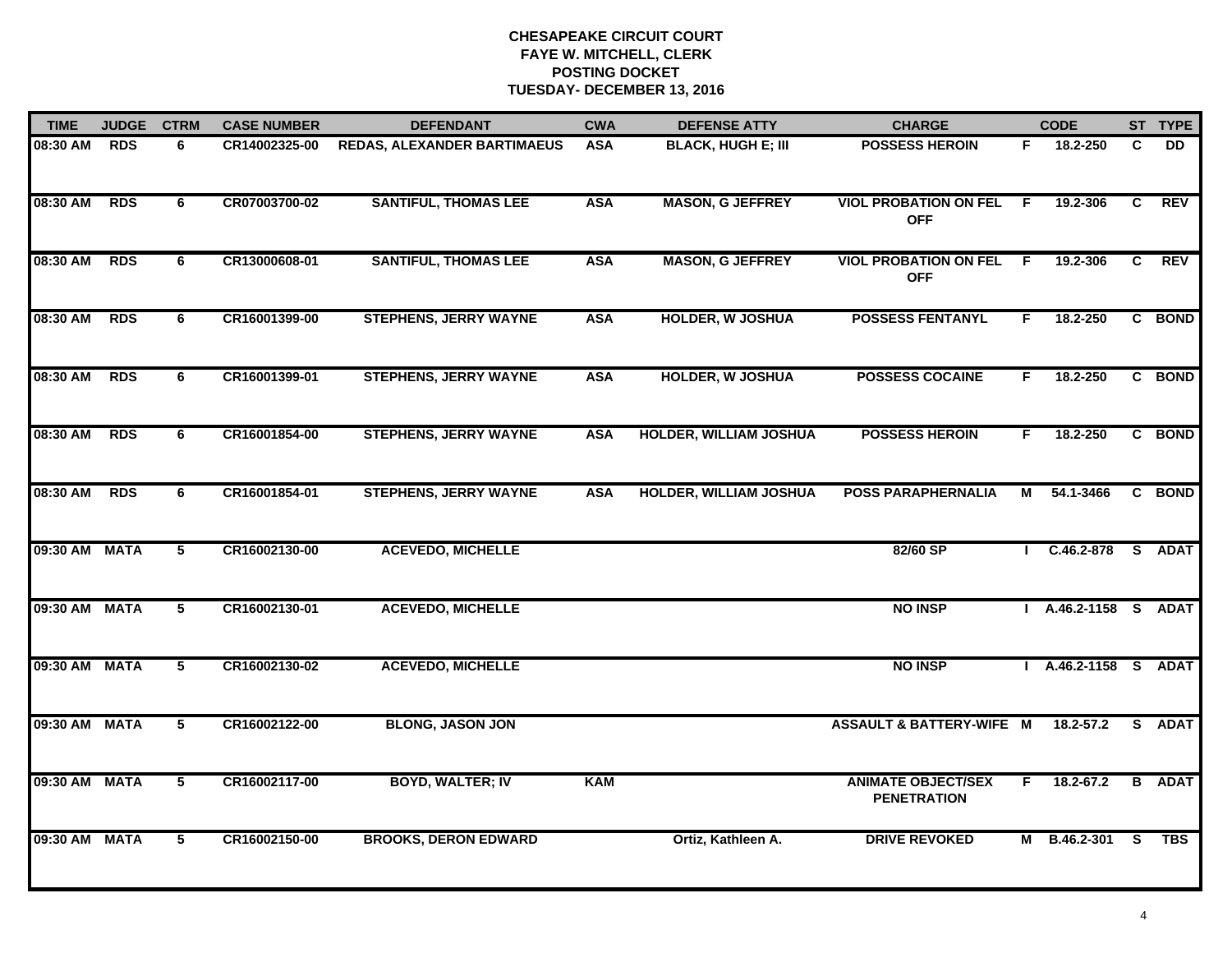| <b>TIME</b>   | <b>JUDGE</b> | <b>CTRM</b>    | <b>CASE NUMBER</b> | <b>DEFENDANT</b>                   | <b>CWA</b> | <b>DEFENSE ATTY</b>           | <b>CHARGE</b>                                   |                | <b>CODE</b>        |                | ST TYPE       |
|---------------|--------------|----------------|--------------------|------------------------------------|------------|-------------------------------|-------------------------------------------------|----------------|--------------------|----------------|---------------|
| 08:30 AM      | <b>RDS</b>   | 6              | CR14002325-00      | <b>REDAS, ALEXANDER BARTIMAEUS</b> | <b>ASA</b> | <b>BLACK, HUGH E; III</b>     | <b>POSSESS HEROIN</b>                           | F.             | 18.2-250           | C              | DD            |
| 08:30 AM      | <b>RDS</b>   | 6              | CR07003700-02      | <b>SANTIFUL, THOMAS LEE</b>        | <b>ASA</b> | <b>MASON, G JEFFREY</b>       | <b>VIOL PROBATION ON FEL</b><br><b>OFF</b>      | - F            | 19.2-306           | C              | <b>REV</b>    |
| 08:30 AM      | <b>RDS</b>   | 6              | CR13000608-01      | <b>SANTIFUL, THOMAS LEE</b>        | <b>ASA</b> | <b>MASON, G JEFFREY</b>       | <b>VIOL PROBATION ON FEL</b><br><b>OFF</b>      | $\overline{F}$ | 19.2-306           | $\overline{c}$ | <b>REV</b>    |
| 08:30 AM      | <b>RDS</b>   | 6              | CR16001399-00      | <b>STEPHENS, JERRY WAYNE</b>       | <b>ASA</b> | <b>HOLDER, W JOSHUA</b>       | <b>POSSESS FENTANYL</b>                         | F.             | 18.2-250           |                | C BOND        |
| 08:30 AM      | <b>RDS</b>   | 6              | CR16001399-01      | <b>STEPHENS, JERRY WAYNE</b>       | <b>ASA</b> | <b>HOLDER, W JOSHUA</b>       | <b>POSSESS COCAINE</b>                          | F.             | 18.2-250           |                | C BOND        |
| 08:30 AM      | <b>RDS</b>   | 6              | CR16001854-00      | <b>STEPHENS, JERRY WAYNE</b>       | <b>ASA</b> | <b>HOLDER, WILLIAM JOSHUA</b> | <b>POSSESS HEROIN</b>                           | F.             | 18.2-250           |                | C BOND        |
| 08:30 AM      | <b>RDS</b>   | 6              | CR16001854-01      | <b>STEPHENS, JERRY WAYNE</b>       | <b>ASA</b> | <b>HOLDER, WILLIAM JOSHUA</b> | <b>POSS PARAPHERNALIA</b>                       | М              | 54.1-3466          | C              | <b>BOND</b>   |
| 09:30 AM MATA |              | 5              | CR16002130-00      | <b>ACEVEDO, MICHELLE</b>           |            |                               | 82/60 SP                                        |                | $C.46.2 - 878$     |                | S ADAT        |
| 09:30 AM      | <b>MATA</b>  | 5              | CR16002130-01      | <b>ACEVEDO, MICHELLE</b>           |            |                               | <b>NO INSP</b>                                  |                | A.46.2-1158 S ADAT |                |               |
| 09:30 AM      | <b>MATA</b>  | 5              | CR16002130-02      | <b>ACEVEDO, MICHELLE</b>           |            |                               | <b>NO INSP</b>                                  |                | A.46.2-1158 S ADAT |                |               |
| 09:30 AM MATA |              | 5              | CR16002122-00      | <b>BLONG, JASON JON</b>            |            |                               | <b>ASSAULT &amp; BATTERY-WIFE M</b>             |                | $18.2 - 57.2$      |                | S ADAT        |
| 09:30 AM      | <b>MATA</b>  | 5              | CR16002117-00      | <b>BOYD, WALTER; IV</b>            | <b>KAM</b> |                               | <b>ANIMATE OBJECT/SEX</b><br><b>PENETRATION</b> | F.             | 18.2-67.2          |                | <b>B</b> ADAT |
| 09:30 AM      | <b>MATA</b>  | $\overline{5}$ | CR16002150-00      | <b>BROOKS, DERON EDWARD</b>        |            | Ortiz, Kathleen A.            | <b>DRIVE REVOKED</b>                            |                | M B.46.2-301       | - S            | <b>TBS</b>    |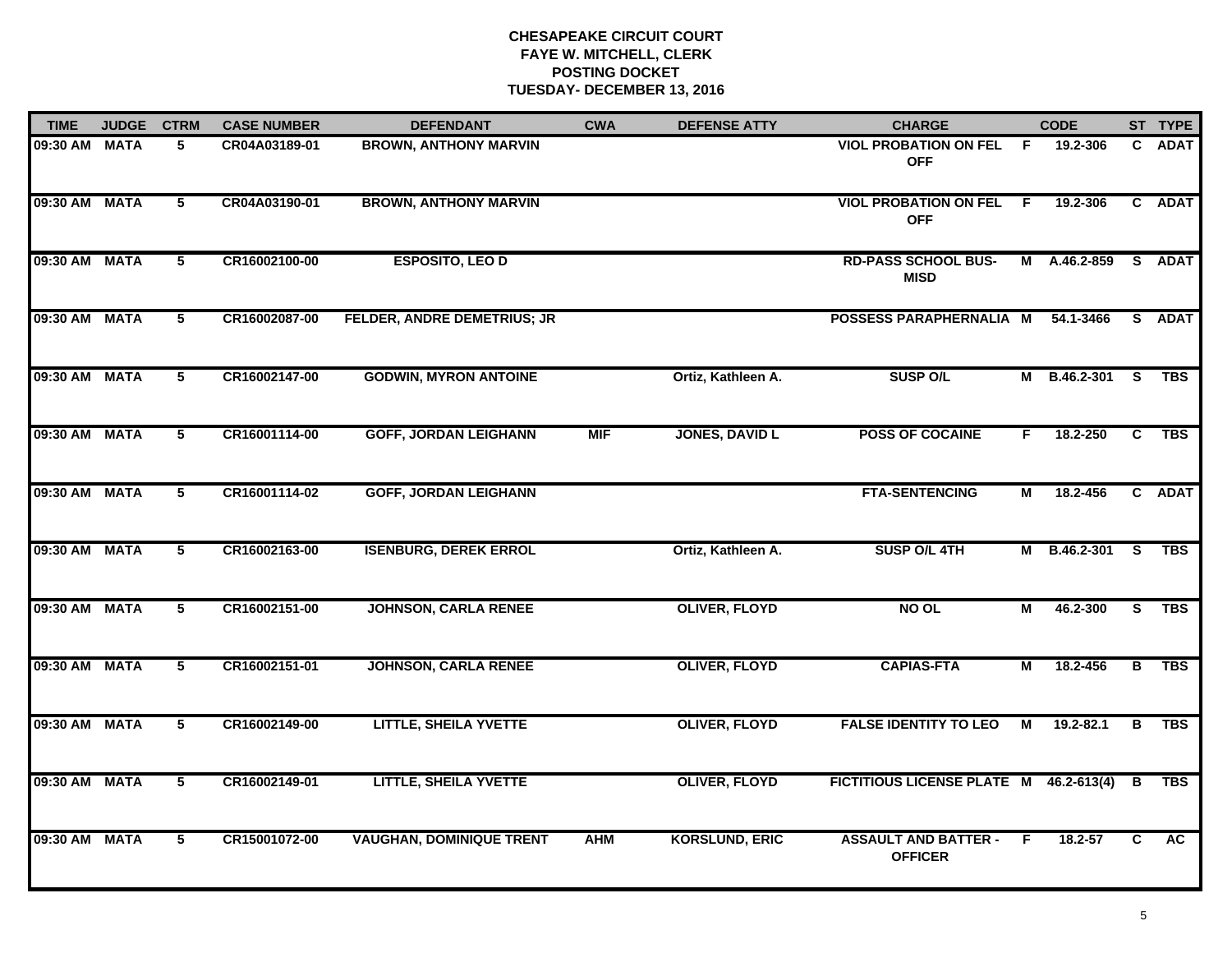| <b>TIME</b>   | <b>JUDGE</b> | <b>CTRM</b>     | <b>CASE NUMBER</b> | <b>DEFENDANT</b>                   | <b>CWA</b> | <b>DEFENSE ATTY</b>   | <b>CHARGE</b>                                 |     | <b>CODE</b>  |          | ST TYPE     |
|---------------|--------------|-----------------|--------------------|------------------------------------|------------|-----------------------|-----------------------------------------------|-----|--------------|----------|-------------|
| 09:30 AM MATA |              | 5.              | CR04A03189-01      | <b>BROWN, ANTHONY MARVIN</b>       |            |                       | <b>VIOL PROBATION ON FEL</b><br><b>OFF</b>    | -F. | 19.2-306     |          | C ADAT      |
| 09:30 AM MATA |              | $5\overline{ }$ | CR04A03190-01      | <b>BROWN, ANTHONY MARVIN</b>       |            |                       | <b>VIOL PROBATION ON FEL</b><br><b>OFF</b>    | - F | 19.2-306     |          | C ADAT      |
| 09:30 AM MATA |              | 5               | CR16002100-00      | <b>ESPOSITO, LEO D</b>             |            |                       | <b>RD-PASS SCHOOL BUS-</b><br><b>MISD</b>     | M   | A.46.2-859   |          | S ADAT      |
| 09:30 AM MATA |              | 5               | CR16002087-00      | <b>FELDER, ANDRE DEMETRIUS; JR</b> |            |                       | POSSESS PARAPHERNALIA M                       |     | 54.1-3466    | S.       | <b>ADAT</b> |
| 09:30 AM MATA |              | 5               | CR16002147-00      | <b>GODWIN, MYRON ANTOINE</b>       |            | Ortiz, Kathleen A.    | <b>SUSP O/L</b>                               | М   | B.46.2-301   | <b>S</b> | <b>TBS</b>  |
| 09:30 AM MATA |              | 5               | CR16001114-00      | <b>GOFF, JORDAN LEIGHANN</b>       | <b>MIF</b> | <b>JONES, DAVID L</b> | <b>POSS OF COCAINE</b>                        | F.  | 18.2-250     | C        | <b>TBS</b>  |
| 09:30 AM MATA |              | 5               | CR16001114-02      | <b>GOFF, JORDAN LEIGHANN</b>       |            |                       | <b>FTA-SENTENCING</b>                         | М   | 18.2-456     |          | C ADAT      |
| 09:30 AM MATA |              | 5               | CR16002163-00      | <b>ISENBURG, DEREK ERROL</b>       |            | Ortiz, Kathleen A.    | SUSP O/L 4TH                                  |     | M B.46.2-301 | <b>S</b> | <b>TBS</b>  |
| 09:30 AM MATA |              | 5               | CR16002151-00      | <b>JOHNSON, CARLA RENEE</b>        |            | <b>OLIVER, FLOYD</b>  | NO OL                                         | М   | 46.2-300     | S.       | <b>TBS</b>  |
| 09:30 AM MATA |              | 5               | CR16002151-01      | <b>JOHNSON, CARLA RENEE</b>        |            | <b>OLIVER, FLOYD</b>  | <b>CAPIAS-FTA</b>                             | М   | 18.2-456     | в        | <b>TBS</b>  |
| 09:30 AM MATA |              | 5               | CR16002149-00      | <b>LITTLE, SHEILA YVETTE</b>       |            | <b>OLIVER, FLOYD</b>  | <b>FALSE IDENTITY TO LEO</b>                  | M   | 19.2-82.1    | в        | <b>TBS</b>  |
| 09:30 AM MATA |              | 5               | CR16002149-01      | <b>LITTLE, SHEILA YVETTE</b>       |            | <b>OLIVER, FLOYD</b>  | FICTITIOUS LICENSE PLATE M 46.2-613(4)        |     |              | В        | <b>TBS</b>  |
| 09:30 AM MATA |              | 5               | CR15001072-00      | <b>VAUGHAN, DOMINIQUE TRENT</b>    | <b>AHM</b> | <b>KORSLUND, ERIC</b> | <b>ASSAULT AND BATTER -</b><br><b>OFFICER</b> | F.  | 18.2-57      | C        | AC.         |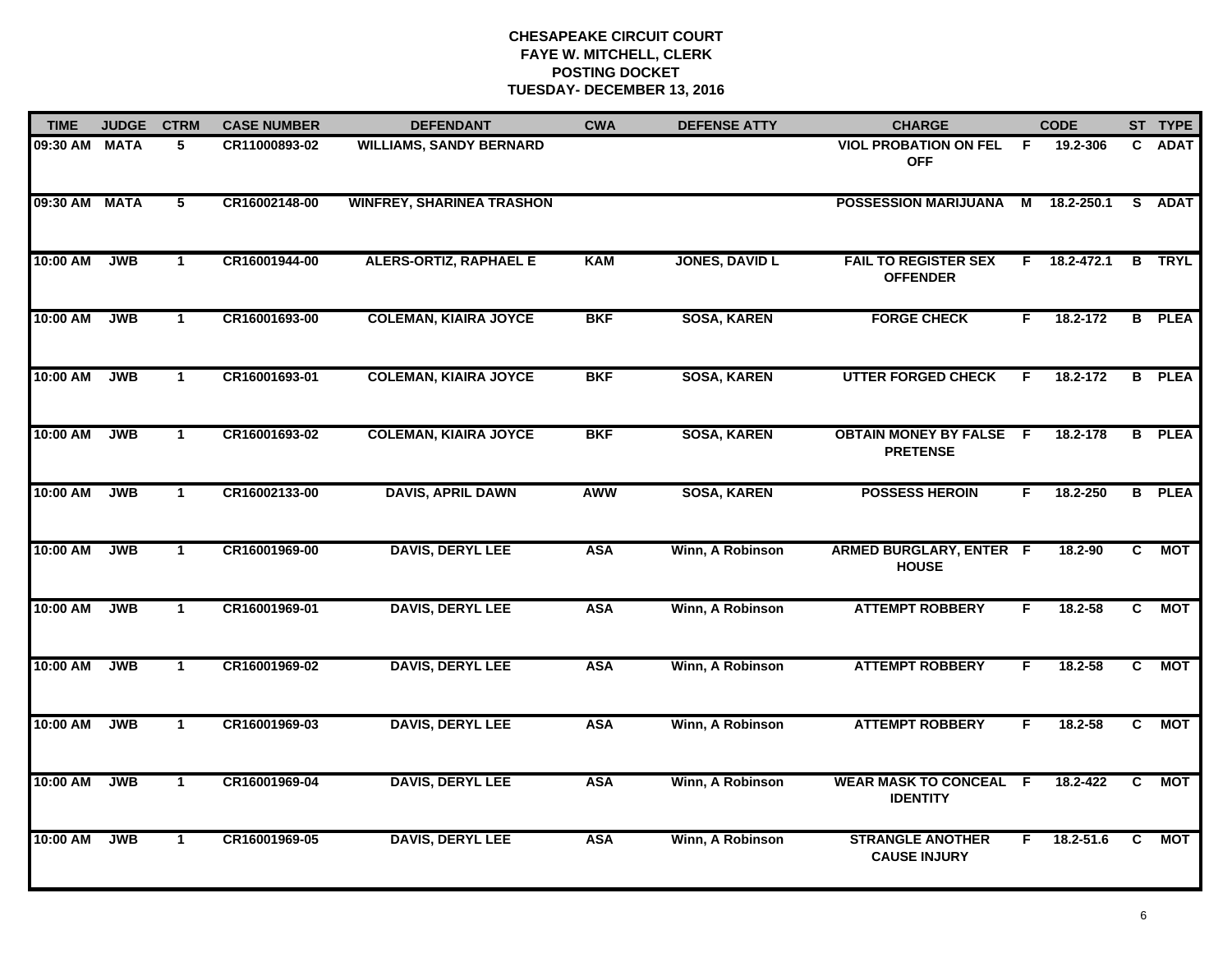| <b>TIME</b> | <b>JUDGE</b> | <b>CTRM</b>    | <b>CASE NUMBER</b> | <b>DEFENDANT</b>                 | <b>CWA</b> | <b>DEFENSE ATTY</b>   | <b>CHARGE</b>                                     |                | <b>CODE</b>        |                | ST TYPE       |
|-------------|--------------|----------------|--------------------|----------------------------------|------------|-----------------------|---------------------------------------------------|----------------|--------------------|----------------|---------------|
| 09:30 AM    | <b>MATA</b>  | 5              | CR11000893-02      | <b>WILLIAMS, SANDY BERNARD</b>   |            |                       | <b>VIOL PROBATION ON FEL</b><br><b>OFF</b>        | F.             | 19.2-306           | C.             | <b>ADAT</b>   |
| 09:30 AM    | <b>MATA</b>  | $\overline{5}$ | CR16002148-00      | <b>WINFREY, SHARINEA TRASHON</b> |            |                       | <b>POSSESSION MARIJUANA</b>                       | $\overline{M}$ | 18.2-250.1         |                | S ADAT        |
| 10:00 AM    | <b>JWB</b>   | $\mathbf{1}$   | CR16001944-00      | <b>ALERS-ORTIZ, RAPHAEL E</b>    | KAM        | <b>JONES, DAVID L</b> | <b>FAIL TO REGISTER SEX</b><br><b>OFFENDER</b>    |                | $F = 18.2 - 472.1$ |                | <b>B</b> TRYL |
| 10:00 AM    | <b>JWB</b>   | $\mathbf 1$    | CR16001693-00      | <b>COLEMAN, KIAIRA JOYCE</b>     | <b>BKF</b> | <b>SOSA, KAREN</b>    | <b>FORGE CHECK</b>                                | F.             | 18.2-172           |                | <b>B</b> PLEA |
| 10:00 AM    | <b>JWB</b>   | $\mathbf{1}$   | CR16001693-01      | <b>COLEMAN, KIAIRA JOYCE</b>     | <b>BKF</b> | <b>SOSA, KAREN</b>    | <b>UTTER FORGED CHECK</b>                         | F.             | 18.2-172           |                | <b>B</b> PLEA |
| 10:00 AM    | <b>JWB</b>   | $\mathbf{1}$   | CR16001693-02      | <b>COLEMAN, KIAIRA JOYCE</b>     | <b>BKF</b> | <b>SOSA, KAREN</b>    | <b>OBTAIN MONEY BY FALSE F</b><br><b>PRETENSE</b> |                | 18.2-178           |                | <b>B</b> PLEA |
| 10:00 AM    | <b>JWB</b>   | $\overline{1}$ | CR16002133-00      | <b>DAVIS, APRIL DAWN</b>         | <b>AWW</b> | <b>SOSA, KAREN</b>    | <b>POSSESS HEROIN</b>                             | F.             | 18.2-250           |                | <b>B</b> PLEA |
| 10:00 AM    | <b>JWB</b>   | $\mathbf{1}$   | CR16001969-00      | <b>DAVIS, DERYL LEE</b>          | <b>ASA</b> | Winn, A Robinson      | <b>ARMED BURGLARY, ENTER F</b><br><b>HOUSE</b>    |                | 18.2-90            | C.             | <b>MOT</b>    |
| 10:00 AM    | <b>JWB</b>   | $\mathbf 1$    | CR16001969-01      | <b>DAVIS, DERYL LEE</b>          | <b>ASA</b> | Winn, A Robinson      | <b>ATTEMPT ROBBERY</b>                            | F              | $18.2 - 58$        | C              | <b>MOT</b>    |
| 10:00 AM    | <b>JWB</b>   | $\mathbf{1}$   | CR16001969-02      | <b>DAVIS, DERYL LEE</b>          | <b>ASA</b> | Winn, A Robinson      | <b>ATTEMPT ROBBERY</b>                            | F.             | 18.2-58            | C.             | <b>MOT</b>    |
| 10:00 AM    | <b>JWB</b>   | $\mathbf{1}$   | CR16001969-03      | <b>DAVIS, DERYL LEE</b>          | <b>ASA</b> | Winn, A Robinson      | <b>ATTEMPT ROBBERY</b>                            | F.             | $18.2 - 58$        | $\mathbf{c}$   | <b>MOT</b>    |
| 10:00 AM    | <b>JWB</b>   | $\mathbf{1}$   | CR16001969-04      | <b>DAVIS, DERYL LEE</b>          | <b>ASA</b> | Winn, A Robinson      | <b>WEAR MASK TO CONCEAL F</b><br><b>IDENTITY</b>  |                | 18.2-422           | $\overline{c}$ | <b>MOT</b>    |
| 10:00 AM    | <b>JWB</b>   | $\mathbf{1}$   | CR16001969-05      | <b>DAVIS, DERYL LEE</b>          | <b>ASA</b> | Winn, A Robinson      | <b>STRANGLE ANOTHER</b><br><b>CAUSE INJURY</b>    | F.             | 18.2-51.6          | C              | <b>MOT</b>    |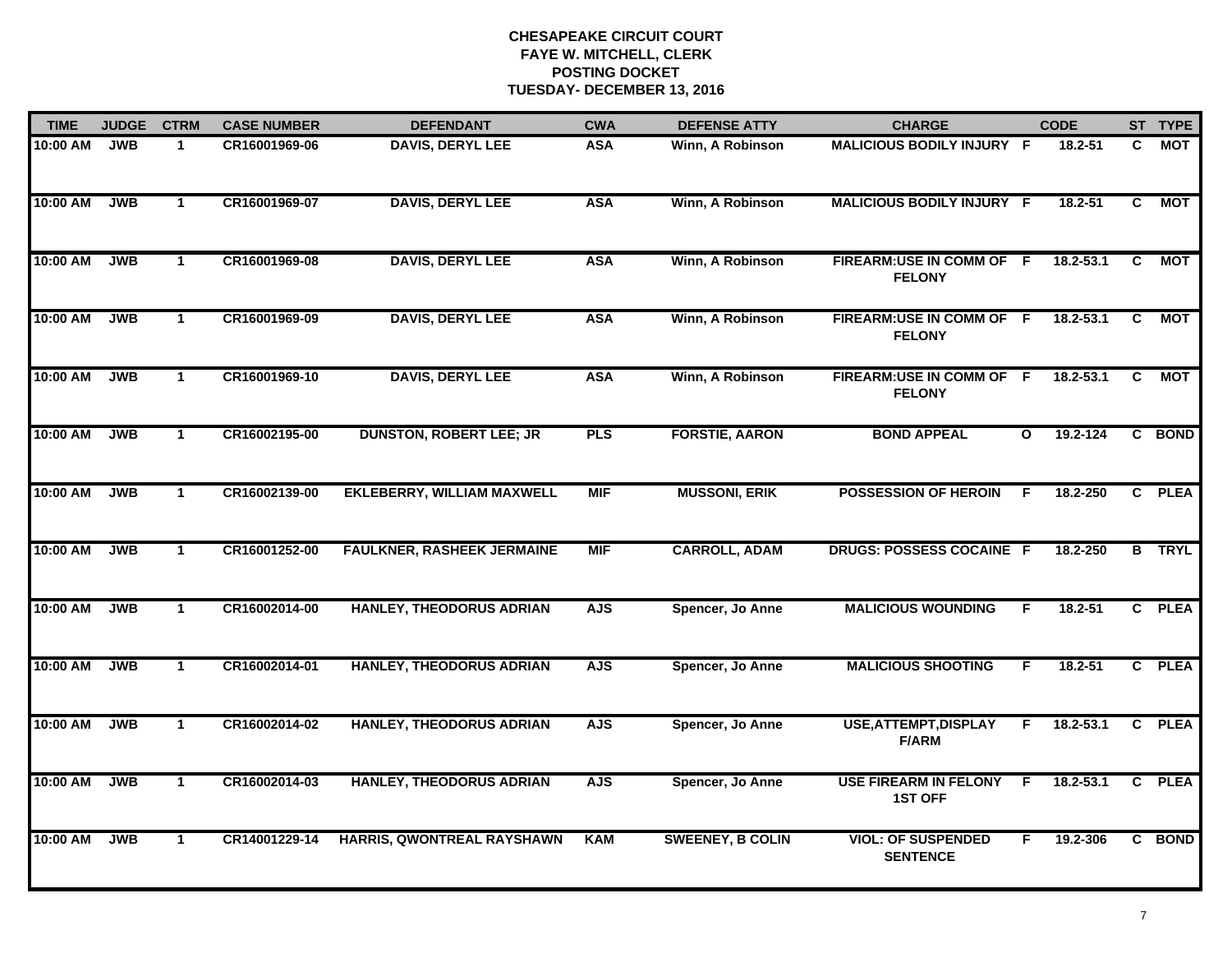| <b>TIME</b> | <b>JUDGE</b> | <b>CTRM</b>  | <b>CASE NUMBER</b> | <b>DEFENDANT</b>                  | <b>CWA</b> | <b>DEFENSE ATTY</b>     | <b>CHARGE</b>                                  |              | <b>CODE</b>   |                | ST TYPE     |
|-------------|--------------|--------------|--------------------|-----------------------------------|------------|-------------------------|------------------------------------------------|--------------|---------------|----------------|-------------|
| 10:00 AM    | <b>JWB</b>   | $\mathbf{1}$ | CR16001969-06      | <b>DAVIS, DERYL LEE</b>           | <b>ASA</b> | Winn, A Robinson        | MALICIOUS BODILY INJURY F                      |              | 18.2-51       | C.             | MOT         |
| 10:00 AM    | <b>JWB</b>   | $\mathbf 1$  | CR16001969-07      | <b>DAVIS, DERYL LEE</b>           | <b>ASA</b> | Winn, A Robinson        | <b>MALICIOUS BODILY INJURY F</b>               |              | $18.2 - 51$   | C.             | <b>MOT</b>  |
| 10:00 AM    | <b>JWB</b>   | $\mathbf{1}$ | CR16001969-08      | <b>DAVIS, DERYL LEE</b>           | <b>ASA</b> | Winn, A Robinson        | <b>FIREARM:USE IN COMM OF</b><br><b>FELONY</b> | - F          | $18.2 - 53.1$ | C              | <b>MOT</b>  |
| 10:00 AM    | <b>JWB</b>   | $\mathbf{1}$ | CR16001969-09      | <b>DAVIS, DERYL LEE</b>           | <b>ASA</b> | Winn, A Robinson        | FIREARM:USE IN COMM OF F<br><b>FELONY</b>      |              | $18.2 - 53.1$ | C              | <b>MOT</b>  |
| 10:00 AM    | <b>JWB</b>   | $\mathbf{1}$ | CR16001969-10      | <b>DAVIS, DERYL LEE</b>           | <b>ASA</b> | Winn, A Robinson        | FIREARM:USE IN COMM OF F<br><b>FELONY</b>      |              | 18.2-53.1     | C              | <b>MOT</b>  |
| 10:00 AM    | <b>JWB</b>   | $\mathbf{1}$ | CR16002195-00      | <b>DUNSTON, ROBERT LEE; JR</b>    | <b>PLS</b> | <b>FORSTIE, AARON</b>   | <b>BOND APPEAL</b>                             | $\mathbf{o}$ | 19.2-124      |                | C BOND      |
| 10:00 AM    | <b>JWB</b>   | $\mathbf{1}$ | CR16002139-00      | <b>EKLEBERRY, WILLIAM MAXWELL</b> | <b>MIF</b> | <b>MUSSONI, ERIK</b>    | <b>POSSESSION OF HEROIN</b>                    | -F           | 18.2-250      |                | C PLEA      |
| 10:00 AM    | <b>JWB</b>   | $\mathbf{1}$ | CR16001252-00      | <b>FAULKNER, RASHEEK JERMAINE</b> | <b>MIF</b> | <b>CARROLL, ADAM</b>    | <b>DRUGS: POSSESS COCAINE F</b>                |              | 18.2-250      | $\overline{B}$ | <b>TRYL</b> |
| 10:00 AM    | <b>JWB</b>   | $\mathbf{1}$ | CR16002014-00      | HANLEY, THEODORUS ADRIAN          | <b>AJS</b> | Spencer, Jo Anne        | <b>MALICIOUS WOUNDING</b>                      | F            | 18.2-51       |                | C PLEA      |
| 10:00 AM    | <b>JWB</b>   | $\mathbf{1}$ | CR16002014-01      | HANLEY, THEODORUS ADRIAN          | <b>AJS</b> | Spencer, Jo Anne        | <b>MALICIOUS SHOOTING</b>                      | F            | 18.2-51       |                | C PLEA      |
| 10:00 AM    | <b>JWB</b>   | $\mathbf{1}$ | CR16002014-02      | HANLEY, THEODORUS ADRIAN          | <b>AJS</b> | Spencer, Jo Anne        | <b>USE, ATTEMPT, DISPLAY</b><br><b>F/ARM</b>   | F            | 18.2-53.1     |                | C PLEA      |
| 10:00 AM    | <b>JWB</b>   | $\mathbf{1}$ | CR16002014-03      | HANLEY, THEODORUS ADRIAN          | <b>AJS</b> | Spencer, Jo Anne        | <b>USE FIREARM IN FELONY</b><br><b>1ST OFF</b> | -F           | 18.2-53.1     |                | C PLEA      |
| 10:00 AM    | <b>JWB</b>   | $\mathbf{1}$ | CR14001229-14      | <b>HARRIS, QWONTREAL RAYSHAWN</b> | <b>KAM</b> | <b>SWEENEY, B COLIN</b> | <b>VIOL: OF SUSPENDED</b><br><b>SENTENCE</b>   | F.           | 19.2-306      |                | C BOND      |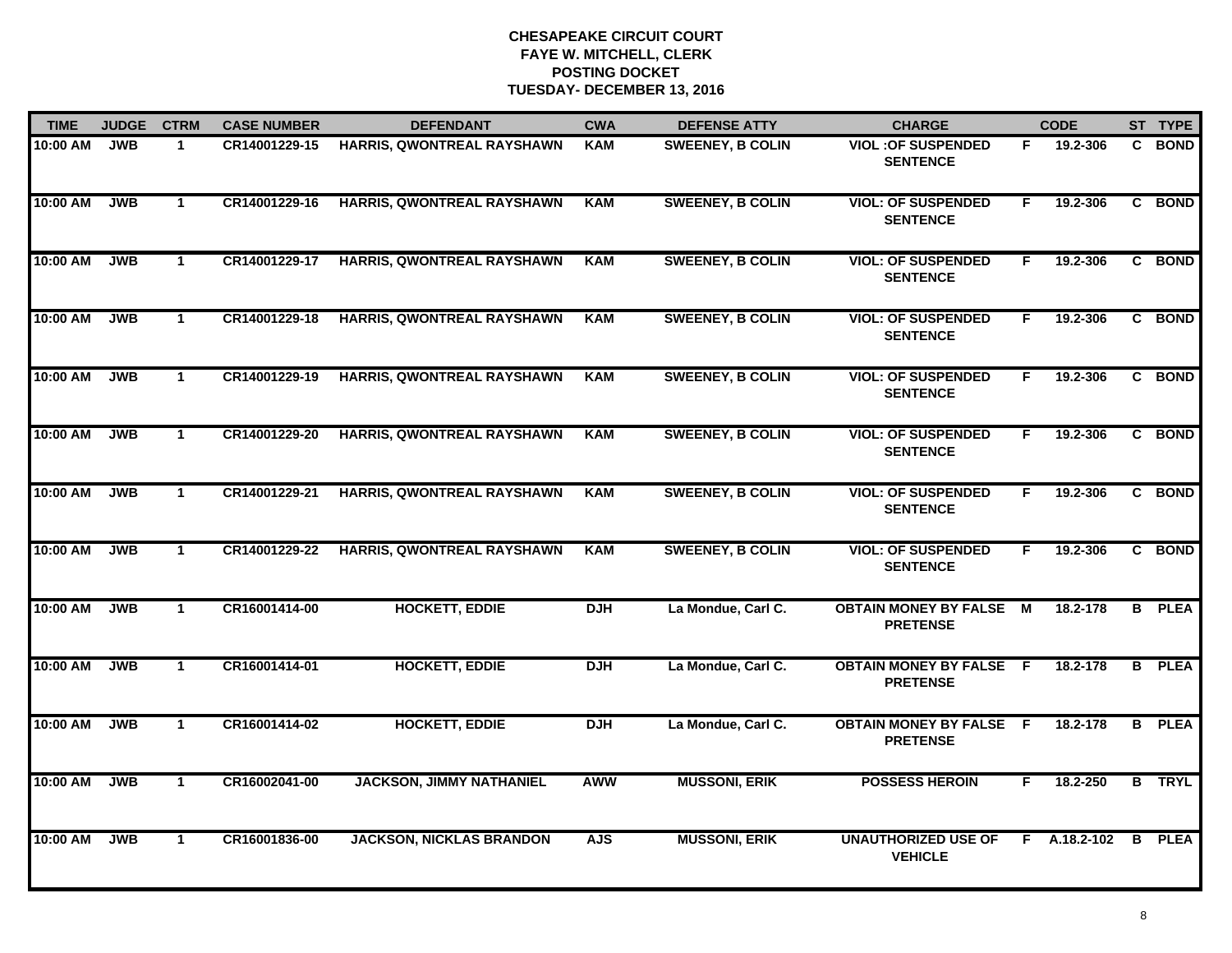| <b>TIME</b> | <b>JUDGE</b> | <b>CTRM</b>  | <b>CASE NUMBER</b> | <b>DEFENDANT</b>                  | <b>CWA</b> | <b>DEFENSE ATTY</b>     | <b>CHARGE</b>                                     |    | <b>CODE</b>    |   | ST TYPE       |
|-------------|--------------|--------------|--------------------|-----------------------------------|------------|-------------------------|---------------------------------------------------|----|----------------|---|---------------|
| 10:00 AM    | <b>JWB</b>   | $\mathbf 1$  | CR14001229-15      | HARRIS, QWONTREAL RAYSHAWN        | <b>KAM</b> | <b>SWEENEY, B COLIN</b> | <b>VIOL: OF SUSPENDED</b><br><b>SENTENCE</b>      | F. | 19.2-306       |   | C BOND        |
| 10:00 AM    | <b>JWB</b>   | $\mathbf{1}$ | CR14001229-16      | HARRIS, QWONTREAL RAYSHAWN        | <b>KAM</b> | <b>SWEENEY, B COLIN</b> | <b>VIOL: OF SUSPENDED</b><br><b>SENTENCE</b>      | F. | 19.2-306       |   | C BOND        |
| 10:00 AM    | <b>JWB</b>   | $\mathbf{1}$ | CR14001229-17      | <b>HARRIS, QWONTREAL RAYSHAWN</b> | <b>KAM</b> | <b>SWEENEY, B COLIN</b> | <b>VIOL: OF SUSPENDED</b><br><b>SENTENCE</b>      | F. | 19.2-306       |   | C BOND        |
| 10:00 AM    | <b>JWB</b>   | $\mathbf{1}$ | CR14001229-18      | HARRIS, QWONTREAL RAYSHAWN        | <b>KAM</b> | <b>SWEENEY, B COLIN</b> | <b>VIOL: OF SUSPENDED</b><br><b>SENTENCE</b>      | F. | 19.2-306       |   | C BOND        |
| 10:00 AM    | <b>JWB</b>   | $\mathbf{1}$ | CR14001229-19      | HARRIS, QWONTREAL RAYSHAWN        | <b>KAM</b> | <b>SWEENEY, B COLIN</b> | <b>VIOL: OF SUSPENDED</b><br><b>SENTENCE</b>      | F. | 19.2-306       |   | C BOND        |
| 10:00 AM    | JWB          | $\mathbf{1}$ | CR14001229-20      | HARRIS, QWONTREAL RAYSHAWN        | <b>KAM</b> | <b>SWEENEY, B COLIN</b> | <b>VIOL: OF SUSPENDED</b><br><b>SENTENCE</b>      | F. | 19.2-306       |   | C BOND        |
| 10:00 AM    | <b>JWB</b>   | $\mathbf{1}$ | CR14001229-21      | <b>HARRIS, QWONTREAL RAYSHAWN</b> | <b>KAM</b> | <b>SWEENEY, B COLIN</b> | <b>VIOL: OF SUSPENDED</b><br><b>SENTENCE</b>      | F. | 19.2-306       |   | C BOND        |
| 10:00 AM    | <b>JWB</b>   | $\mathbf 1$  | CR14001229-22      | HARRIS, QWONTREAL RAYSHAWN        | <b>KAM</b> | <b>SWEENEY, B COLIN</b> | <b>VIOL: OF SUSPENDED</b><br><b>SENTENCE</b>      | F. | 19.2-306       |   | C BOND        |
| 10:00 AM    | <b>JWB</b>   | $\mathbf 1$  | CR16001414-00      | <b>HOCKETT, EDDIE</b>             | <b>DJH</b> | La Mondue, Carl C.      | <b>OBTAIN MONEY BY FALSE M</b><br><b>PRETENSE</b> |    | 18.2-178       |   | <b>B</b> PLEA |
| 10:00 AM    | <b>JWB</b>   | $\mathbf{1}$ | CR16001414-01      | <b>HOCKETT, EDDIE</b>             | <b>DJH</b> | La Mondue, Carl C.      | <b>OBTAIN MONEY BY FALSE F</b><br><b>PRETENSE</b> |    | 18.2-178       |   | <b>B</b> PLEA |
| 10:00 AM    | <b>JWB</b>   | $\mathbf{1}$ | CR16001414-02      | <b>HOCKETT, EDDIE</b>             | <b>DJH</b> | La Mondue, Carl C.      | <b>OBTAIN MONEY BY FALSE F</b><br><b>PRETENSE</b> |    | 18.2-178       |   | <b>B</b> PLEA |
| 10:00 AM    | <b>JWB</b>   | $\mathbf{1}$ | CR16002041-00      | <b>JACKSON, JIMMY NATHANIEL</b>   | <b>AWW</b> | <b>MUSSONI, ERIK</b>    | <b>POSSESS HEROIN</b>                             | F  | 18.2-250       |   | <b>B</b> TRYL |
| 10:00 AM    | <b>JWB</b>   | $\mathbf{1}$ | CR16001836-00      | <b>JACKSON, NICKLAS BRANDON</b>   | <b>AJS</b> | <b>MUSSONI, ERIK</b>    | <b>UNAUTHORIZED USE OF</b><br><b>VEHICLE</b>      |    | $F$ A.18.2-102 | B | <b>PLEA</b>   |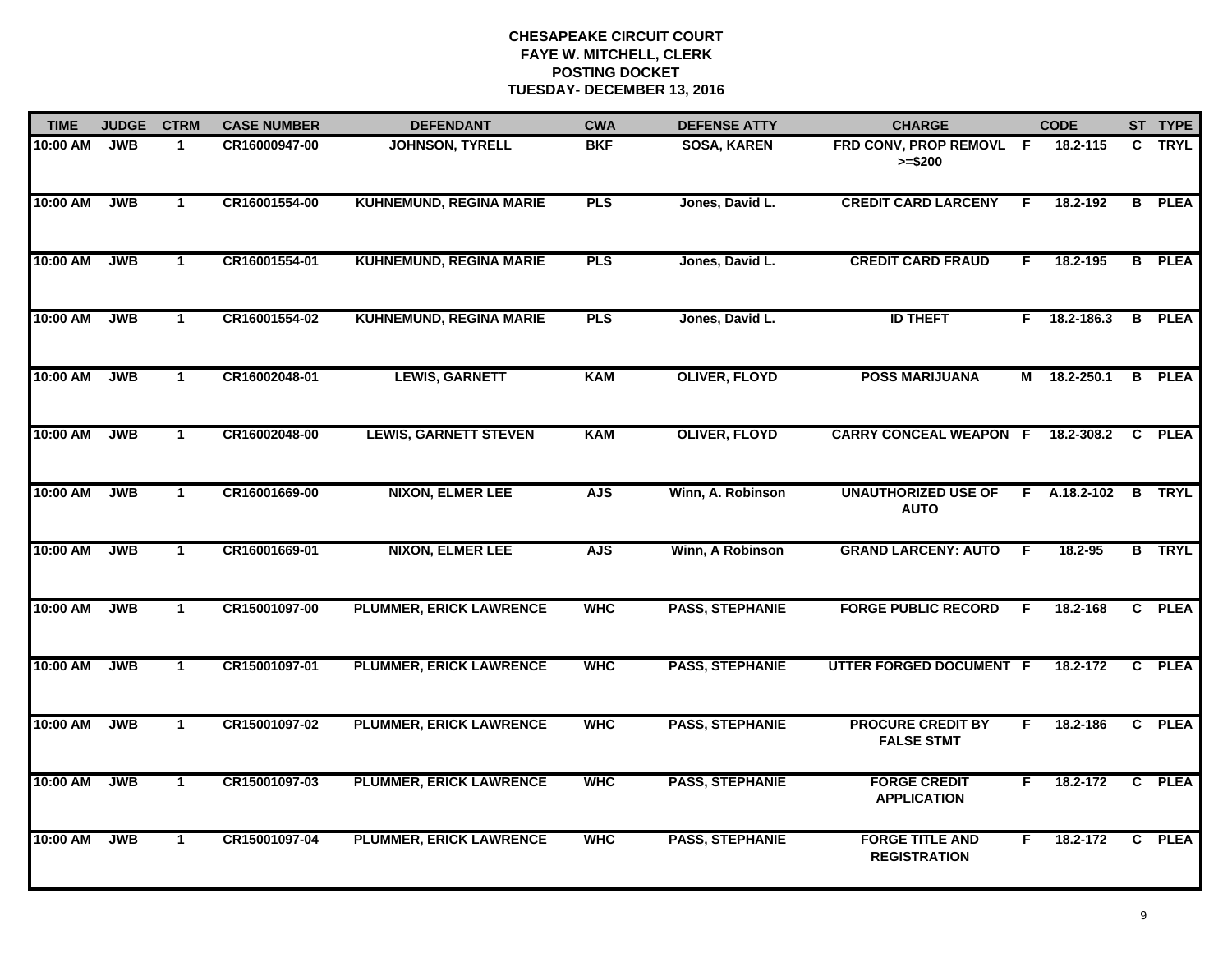| <b>TIME</b> | <b>JUDGE</b> | <b>CTRM</b>          | <b>CASE NUMBER</b> | <b>DEFENDANT</b>               | <b>CWA</b> | <b>DEFENSE ATTY</b>    | <b>CHARGE</b>                                 |    | <b>CODE</b>  |   | ST TYPE       |
|-------------|--------------|----------------------|--------------------|--------------------------------|------------|------------------------|-----------------------------------------------|----|--------------|---|---------------|
| 10:00 AM    | <b>JWB</b>   | $\mathbf{1}$         | CR16000947-00      | <b>JOHNSON, TYRELL</b>         | <b>BKF</b> | <b>SOSA, KAREN</b>     | FRD CONV, PROP REMOVL F<br>$>= $200$          |    | 18.2-115     |   | C TRYL        |
| 10:00 AM    | <b>JWB</b>   | $\mathbf{1}$         | CR16001554-00      | <b>KUHNEMUND, REGINA MARIE</b> | <b>PLS</b> | Jones, David L.        | <b>CREDIT CARD LARCENY</b>                    | F. | 18.2-192     |   | <b>B</b> PLEA |
| 10:00 AM    | <b>JWB</b>   | $\mathbf{1}$         | CR16001554-01      | <b>KUHNEMUND, REGINA MARIE</b> | <b>PLS</b> | Jones, David L.        | <b>CREDIT CARD FRAUD</b>                      | F. | 18.2-195     |   | <b>B</b> PLEA |
| 10:00 AM    | <b>JWB</b>   | $\mathbf 1$          | CR16001554-02      | <b>KUHNEMUND, REGINA MARIE</b> | <b>PLS</b> | Jones, David L.        | <b>ID THEFT</b>                               |    | F 18.2-186.3 |   | <b>B</b> PLEA |
| 10:00 AM    | <b>JWB</b>   | $\blacktriangleleft$ | CR16002048-01      | <b>LEWIS, GARNETT</b>          | <b>KAM</b> | <b>OLIVER, FLOYD</b>   | <b>POSS MARIJUANA</b>                         |    | M 18.2-250.1 |   | <b>B</b> PLEA |
| 10:00 AM    | <b>JWB</b>   | $\mathbf 1$          | CR16002048-00      | <b>LEWIS, GARNETT STEVEN</b>   | <b>KAM</b> | <b>OLIVER, FLOYD</b>   | <b>CARRY CONCEAL WEAPON F</b>                 |    | 18.2-308.2   | C | <b>PLEA</b>   |
| 10:00 AM    | <b>JWB</b>   | $\mathbf{1}$         | CR16001669-00      | <b>NIXON, ELMER LEE</b>        | <b>AJS</b> | Winn, A. Robinson      | <b>UNAUTHORIZED USE OF</b><br><b>AUTO</b>     | F. | A.18.2-102   | B | <b>TRYL</b>   |
| 10:00 AM    | <b>JWB</b>   | $\mathbf{1}$         | CR16001669-01      | <b>NIXON, ELMER LEE</b>        | <b>AJS</b> | Winn, A Robinson       | <b>GRAND LARCENY: AUTO</b>                    | F  | 18.2-95      |   | <b>B</b> TRYL |
| 10:00 AM    | <b>JWB</b>   | $\mathbf{1}$         | CR15001097-00      | <b>PLUMMER, ERICK LAWRENCE</b> | <b>WHC</b> | <b>PASS, STEPHANIE</b> | <b>FORGE PUBLIC RECORD</b>                    | F  | 18.2-168     |   | C PLEA        |
| 10:00 AM    | <b>JWB</b>   | $\mathbf{1}$         | CR15001097-01      | <b>PLUMMER, ERICK LAWRENCE</b> | <b>WHC</b> | <b>PASS, STEPHANIE</b> | UTTER FORGED DOCUMENT F                       |    | 18.2-172     |   | C PLEA        |
| 10:00 AM    | <b>JWB</b>   | $\mathbf{1}$         | CR15001097-02      | <b>PLUMMER, ERICK LAWRENCE</b> | <b>WHC</b> | <b>PASS, STEPHANIE</b> | <b>PROCURE CREDIT BY</b><br><b>FALSE STMT</b> | F. | 18.2-186     |   | C PLEA        |
| 10:00 AM    | <b>JWB</b>   | $\mathbf{1}$         | CR15001097-03      | <b>PLUMMER, ERICK LAWRENCE</b> | <b>WHC</b> | <b>PASS, STEPHANIE</b> | <b>FORGE CREDIT</b><br><b>APPLICATION</b>     | F. | 18.2-172     |   | C PLEA        |
| 10:00 AM    | <b>JWB</b>   | $\mathbf{1}$         | CR15001097-04      | <b>PLUMMER, ERICK LAWRENCE</b> | <b>WHC</b> | <b>PASS, STEPHANIE</b> | <b>FORGE TITLE AND</b><br><b>REGISTRATION</b> | F  | 18.2-172     |   | C PLEA        |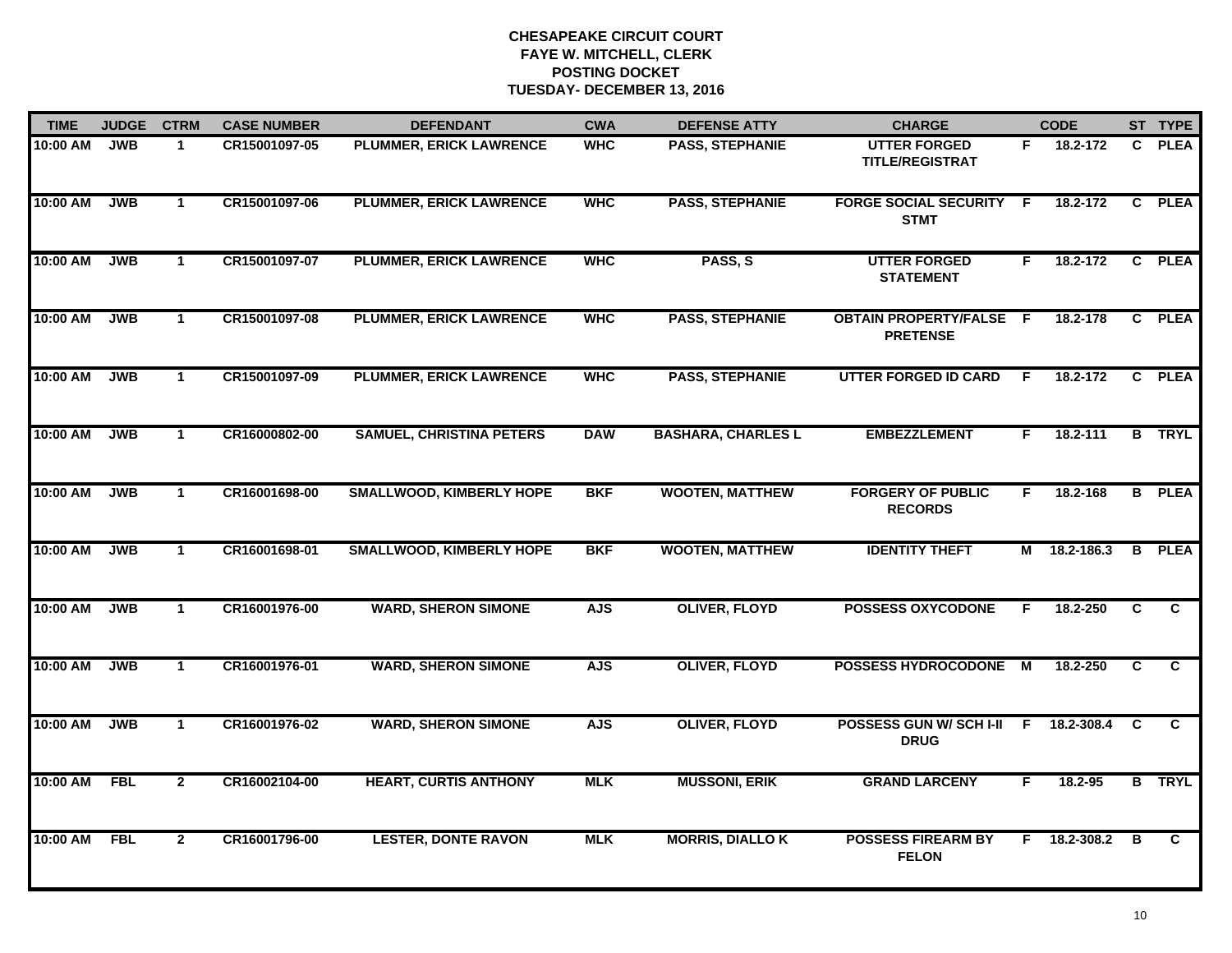| <b>TIME</b>  | <b>JUDGE</b> | <b>CTRM</b>    | <b>CASE NUMBER</b> | <b>DEFENDANT</b>                | <b>CWA</b> | <b>DEFENSE ATTY</b>       | <b>CHARGE</b>                                     |          | <b>CODE</b> |              | ST TYPE        |
|--------------|--------------|----------------|--------------------|---------------------------------|------------|---------------------------|---------------------------------------------------|----------|-------------|--------------|----------------|
| 10:00 AM     | <b>JWB</b>   | $\mathbf 1$    | CR15001097-05      | PLUMMER, ERICK LAWRENCE         | <b>WHC</b> | PASS, STEPHANIE           | <b>UTTER FORGED</b><br><b>TITLE/REGISTRAT</b>     | F.       | 18.2-172    |              | C PLEA         |
| 10:00 AM     | <b>JWB</b>   | $\mathbf{1}$   | CR15001097-06      | <b>PLUMMER, ERICK LAWRENCE</b>  | <b>WHC</b> | <b>PASS, STEPHANIE</b>    | <b>FORGE SOCIAL SECURITY F</b><br><b>STMT</b>     |          | 18.2-172    | $\mathbf{c}$ | <b>PLEA</b>    |
| 10:00 AM     | <b>JWB</b>   | $\mathbf 1$    | CR15001097-07      | <b>PLUMMER, ERICK LAWRENCE</b>  | <b>WHC</b> | PASS, S                   | <b>UTTER FORGED</b><br><b>STATEMENT</b>           | F        | 18.2-172    |              | C PLEA         |
| 10:00 AM     | <b>JWB</b>   | $\mathbf 1$    | CR15001097-08      | <b>PLUMMER, ERICK LAWRENCE</b>  | <b>WHC</b> | <b>PASS, STEPHANIE</b>    | <b>OBTAIN PROPERTY/FALSE F</b><br><b>PRETENSE</b> |          | 18.2-178    |              | C PLEA         |
| 10:00 AM     | <b>JWB</b>   | $\mathbf 1$    | CR15001097-09      | <b>PLUMMER, ERICK LAWRENCE</b>  | <b>WHC</b> | <b>PASS, STEPHANIE</b>    | <b>UTTER FORGED ID CARD</b>                       | F.       | 18.2-172    |              | C PLEA         |
| 10:00 AM     | <b>JWB</b>   | $\mathbf{1}$   | CR16000802-00      | <b>SAMUEL, CHRISTINA PETERS</b> | <b>DAW</b> | <b>BASHARA, CHARLES L</b> | <b>EMBEZZLEMENT</b>                               | F.       | 18.2-111    |              | <b>B</b> TRYL  |
| 10:00 AM     | <b>JWB</b>   | $\mathbf{1}$   | CR16001698-00      | <b>SMALLWOOD, KIMBERLY HOPE</b> | <b>BKF</b> | <b>WOOTEN, MATTHEW</b>    | <b>FORGERY OF PUBLIC</b><br><b>RECORDS</b>        | F.       | 18.2-168    |              | <b>B</b> PLEA  |
| 10:00 AM     | <b>JWB</b>   | $\mathbf{1}$   | CR16001698-01      | <b>SMALLWOOD, KIMBERLY HOPE</b> | <b>BKF</b> | <b>WOOTEN, MATTHEW</b>    | <b>IDENTITY THEFT</b>                             | М        | 18.2-186.3  |              | <b>B</b> PLEA  |
| 10:00 AM     | <b>JWB</b>   | $\mathbf 1$    | CR16001976-00      | <b>WARD, SHERON SIMONE</b>      | <b>AJS</b> | <b>OLIVER, FLOYD</b>      | <b>POSSESS OXYCODONE</b>                          | F.       | 18.2-250    | C            | C.             |
| 10:00 AM     | <b>JWB</b>   | $\mathbf{1}$   | CR16001976-01      | <b>WARD, SHERON SIMONE</b>      | <b>AJS</b> | <b>OLIVER, FLOYD</b>      | <b>POSSESS HYDROCODONE</b>                        | <b>M</b> | 18.2-250    | C            | $\mathbf{c}$   |
| 10:00 AM     | <b>JWB</b>   | $\mathbf{1}$   | CR16001976-02      | <b>WARD, SHERON SIMONE</b>      | <b>AJS</b> | <b>OLIVER, FLOYD</b>      | POSSESS GUN W/SCHI-II F<br><b>DRUG</b>            |          | 18.2-308.4  | C            | C              |
| 10:00 AM FBL |              | $\overline{2}$ | CR16002104-00      | <b>HEART, CURTIS ANTHONY</b>    | <b>MLK</b> | <b>MUSSONI, ERIK</b>      | <b>GRAND LARCENY</b>                              | F        | 18.2-95     |              | <b>B</b> TRYL  |
| 10:00 AM     | <b>FBL</b>   | $\overline{2}$ | CR16001796-00      | <b>LESTER, DONTE RAVON</b>      | <b>MLK</b> | <b>MORRIS, DIALLO K</b>   | <b>POSSESS FIREARM BY</b><br><b>FELON</b>         | F.       | 18.2-308.2  | B            | $\overline{c}$ |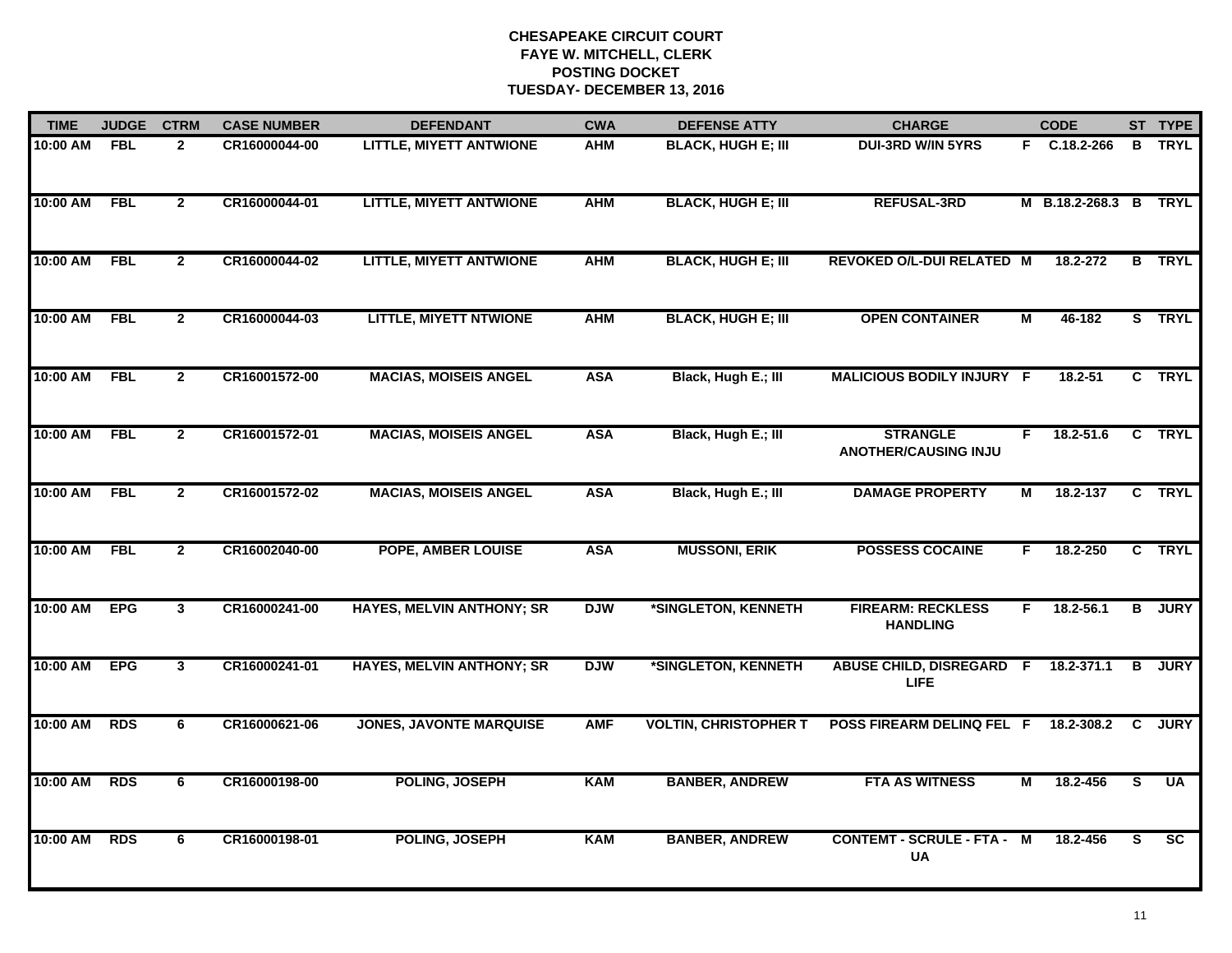| <b>TIME</b>  | <b>JUDGE</b> | <b>CTRM</b>    | <b>CASE NUMBER</b> | <b>DEFENDANT</b>                 | <b>CWA</b> | <b>DEFENSE ATTY</b>          | <b>CHARGE</b>                                  |                | <b>CODE</b>           |                | ST TYPE         |
|--------------|--------------|----------------|--------------------|----------------------------------|------------|------------------------------|------------------------------------------------|----------------|-----------------------|----------------|-----------------|
| 10:00 AM FBL |              | $\mathbf{2}$   | CR16000044-00      | <b>LITTLE, MIYETT ANTWIONE</b>   | AHM        | <b>BLACK, HUGH E; III</b>    | <b>DUI-3RD W/IN 5YRS</b>                       |                | F C.18.2-266          |                | <b>B</b> TRYL   |
| 10:00 AM     | FBL          | $\overline{2}$ | CR16000044-01      | <b>LITTLE, MIYETT ANTWIONE</b>   | <b>AHM</b> | <b>BLACK, HUGH E; III</b>    | <b>REFUSAL-3RD</b>                             |                | M B.18.2-268.3 B TRYL |                |                 |
| 10:00 AM     | FBL          | $\overline{2}$ | CR16000044-02      | <b>LITTLE, MIYETT ANTWIONE</b>   | <b>AHM</b> | <b>BLACK, HUGH E; III</b>    | REVOKED O/L-DUI RELATED M                      |                | 18.2-272              |                | <b>B</b> TRYL   |
| 10:00 AM     | <b>FBL</b>   | $\mathbf{2}$   | CR16000044-03      | <b>LITTLE, MIYETT NTWIONE</b>    | <b>AHM</b> | <b>BLACK, HUGH E; III</b>    | <b>OPEN CONTAINER</b>                          | м              | 46-182                |                | S TRYL          |
| 10:00 AM     | <b>FBL</b>   | $\overline{2}$ | CR16001572-00      | <b>MACIAS, MOISEIS ANGEL</b>     | <b>ASA</b> | Black, Hugh E.; III          | MALICIOUS BODILY INJURY F                      |                | 18.2-51               |                | C TRYL          |
| 10:00 AM FBL |              | $\mathbf{2}$   | CR16001572-01      | <b>MACIAS, MOISEIS ANGEL</b>     | <b>ASA</b> | Black, Hugh E.; III          | <b>STRANGLE</b><br><b>ANOTHER/CAUSING INJU</b> | F.             | 18.2-51.6             |                | C TRYL          |
| 10:00 AM     | <b>FBL</b>   | $\overline{2}$ | CR16001572-02      | <b>MACIAS, MOISEIS ANGEL</b>     | <b>ASA</b> | Black, Hugh E.; III          | <b>DAMAGE PROPERTY</b>                         | $\overline{M}$ | 18.2-137              |                | C TRYL          |
| 10:00 AM     | FBL          | $\mathbf{2}$   | CR16002040-00      | <b>POPE, AMBER LOUISE</b>        | <b>ASA</b> | <b>MUSSONI, ERIK</b>         | <b>POSSESS COCAINE</b>                         | F.             | 18.2-250              |                | C TRYL          |
| 10:00 AM     | <b>EPG</b>   | $\mathbf{3}$   | CR16000241-00      | <b>HAYES, MELVIN ANTHONY; SR</b> | <b>DJW</b> | *SINGLETON, KENNETH          | <b>FIREARM: RECKLESS</b><br><b>HANDLING</b>    | F              | 18.2-56.1             | B              | <b>JURY</b>     |
| 10:00 AM     | <b>EPG</b>   | $\mathbf{3}$   | CR16000241-01      | <b>HAYES, MELVIN ANTHONY; SR</b> | <b>DJW</b> | *SINGLETON, KENNETH          | <b>ABUSE CHILD, DISREGARD F</b><br><b>LIFE</b> |                | 18.2-371.1            | B              | <b>JURY</b>     |
| 10:00 AM     | <b>RDS</b>   | 6              | CR16000621-06      | <b>JONES, JAVONTE MARQUISE</b>   | <b>AMF</b> | <b>VOLTIN, CHRISTOPHER T</b> | POSS FIREARM DELINQ FEL F                      |                | 18.2-308.2            | C.             | <b>JURY</b>     |
| 10:00 AM     | <b>RDS</b>   | 6              | CR16000198-00      | POLING, JOSEPH                   | <b>KAM</b> | <b>BANBER, ANDREW</b>        | <b>FTA AS WITNESS</b>                          | $\overline{M}$ | 18.2-456              | $\overline{s}$ | <b>UA</b>       |
| 10:00 AM     | <b>RDS</b>   | 6              | CR16000198-01      | POLING, JOSEPH                   | <b>KAM</b> | <b>BANBER, ANDREW</b>        | <b>CONTEMT - SCRULE - FTA - M</b><br><b>UA</b> |                | 18.2-456              | S.             | $\overline{sc}$ |